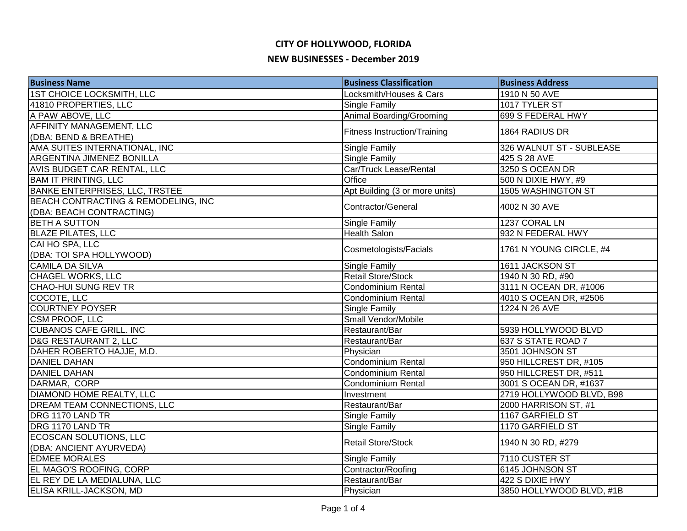| <b>Business Name</b>                                            | <b>Business Classification</b>      | <b>Business Address</b>  |
|-----------------------------------------------------------------|-------------------------------------|--------------------------|
| <b>1ST CHOICE LOCKSMITH, LLC</b>                                | Locksmith/Houses & Cars             | 1910 N 50 AVE            |
| 41810 PROPERTIES, LLC                                           | Single Family                       | 1017 TYLER ST            |
| A PAW ABOVE, LLC                                                | Animal Boarding/Grooming            | 699 S FEDERAL HWY        |
| <b>AFFINITY MANAGEMENT, LLC</b>                                 |                                     |                          |
| (DBA: BEND & BREATHE)                                           | <b>Fitness Instruction/Training</b> | 1864 RADIUS DR           |
| AMA SUITES INTERNATIONAL, INC                                   | Single Family                       | 326 WALNUT ST - SUBLEASE |
| <b>ARGENTINA JIMENEZ BONILLA</b>                                | <b>Single Family</b>                | 425 S 28 AVE             |
| AVIS BUDGET CAR RENTAL, LLC                                     | Car/Truck Lease/Rental              | 3250 S OCEAN DR          |
| <b>BAM IT PRINTING, LLC</b>                                     | Office                              | 500 N DIXIE HWY, #9      |
| <b>BANKE ENTERPRISES, LLC, TRSTEE</b>                           | Apt Building (3 or more units)      | 1505 WASHINGTON ST       |
| BEACH CONTRACTING & REMODELING, INC<br>(DBA: BEACH CONTRACTING) | Contractor/General                  | 4002 N 30 AVE            |
| <b>BETH A SUTTON</b>                                            | Single Family                       | 1237 CORAL LN            |
| <b>BLAZE PILATES, LLC</b>                                       | <b>Health Salon</b>                 | 932 N FEDERAL HWY        |
| CAI HO SPA, LLC                                                 |                                     |                          |
| (DBA: TOI SPA HOLLYWOOD)                                        | Cosmetologists/Facials              | 1761 N YOUNG CIRCLE, #4  |
| <b>CAMILA DA SILVA</b>                                          | Single Family                       | 1611 JACKSON ST          |
| <b>CHAGEL WORKS, LLC</b>                                        | <b>Retail Store/Stock</b>           | 1940 N 30 RD, #90        |
| CHAO-HUI SUNG REV TR                                            | Condominium Rental                  | 3111 N OCEAN DR, #1006   |
| COCOTE, LLC                                                     | Condominium Rental                  | 4010 S OCEAN DR, #2506   |
| <b>COURTNEY POYSER</b>                                          | Single Family                       | 1224 N 26 AVE            |
| <b>CSM PROOF, LLC</b>                                           | Small Vendor/Mobile                 |                          |
| <b>CUBANOS CAFE GRILL. INC</b>                                  | Restaurant/Bar                      | 5939 HOLLYWOOD BLVD      |
| D&G RESTAURANT 2, LLC                                           | Restaurant/Bar                      | 637 S STATE ROAD 7       |
| DAHER ROBERTO HAJJE, M.D.                                       | Physician                           | 3501 JOHNSON ST          |
| <b>DANIEL DAHAN</b>                                             | Condominium Rental                  | 950 HILLCREST DR, #105   |
| <b>DANIEL DAHAN</b>                                             | <b>Condominium Rental</b>           | 950 HILLCREST DR, #511   |
| DARMAR, CORP                                                    | Condominium Rental                  | 3001 S OCEAN DR, #1637   |
| <b>DIAMOND HOME REALTY, LLC</b>                                 | Investment                          | 2719 HOLLYWOOD BLVD, B98 |
| DREAM TEAM CONNECTIONS, LLC                                     | Restaurant/Bar                      | 2000 HARRISON ST, #1     |
| DRG 1170 LAND TR                                                | Single Family                       | 1167 GARFIELD ST         |
| DRG 1170 LAND TR                                                | <b>Single Family</b>                | 1170 GARFIELD ST         |
| ECOSCAN SOLUTIONS, LLC                                          |                                     |                          |
| (DBA: ANCIENT AYURVEDA)                                         | <b>Retail Store/Stock</b>           | 1940 N 30 RD, #279       |
| <b>EDMEE MORALES</b>                                            | <b>Single Family</b>                | 7110 CUSTER ST           |
| EL MAGO'S ROOFING, CORP                                         | Contractor/Roofing                  | 6145 JOHNSON ST          |
| EL REY DE LA MEDIALUNA, LLC                                     | Restaurant/Bar                      | 422 S DIXIE HWY          |
| ELISA KRILL-JACKSON, MD                                         | Physician                           | 3850 HOLLYWOOD BLVD, #1B |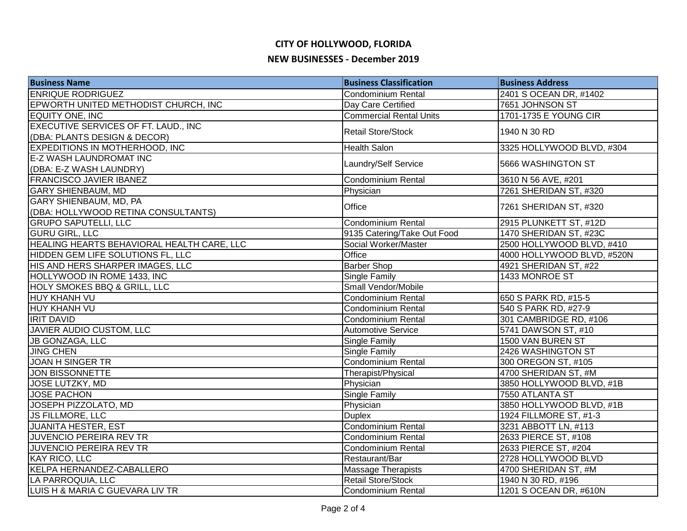| <b>Business Name</b>                       | <b>Business Classification</b> | <b>Business Address</b>    |
|--------------------------------------------|--------------------------------|----------------------------|
| <b>ENRIQUE RODRIGUEZ</b>                   | Condominium Rental             | 2401 S OCEAN DR, #1402     |
| EPWORTH UNITED METHODIST CHURCH, INC       | Day Care Certified             | 7651 JOHNSON ST            |
| EQUITY ONE, INC                            | <b>Commercial Rental Units</b> | 1701-1735 E YOUNG CIR      |
| EXECUTIVE SERVICES OF FT. LAUD., INC       | <b>Retail Store/Stock</b>      | 1940 N 30 RD               |
| (DBA: PLANTS DESIGN & DECOR)               |                                |                            |
| EXPEDITIONS IN MOTHERHOOD, INC             | <b>Health Salon</b>            | 3325 HOLLYWOOD BLVD, #304  |
| E-Z WASH LAUNDROMAT INC                    | Laundry/Self Service           | 5666 WASHINGTON ST         |
| (DBA: E-Z WASH LAUNDRY)                    |                                |                            |
| <b>FRANCISCO JAVIER IBANEZ</b>             | Condominium Rental             | 3610 N 56 AVE, #201        |
| <b>GARY SHIENBAUM, MD</b>                  | Physician                      | 7261 SHERIDAN ST, #320     |
| GARY SHIENBAUM, MD, PA                     | Office                         | 7261 SHERIDAN ST, #320     |
| (DBA: HOLLYWOOD RETINA CONSULTANTS)        |                                |                            |
| <b>GRUPO SAPUTELLI, LLC</b>                | Condominium Rental             | 2915 PLUNKETT ST, #12D     |
| <b>GURU GIRL, LLC</b>                      | 9135 Catering/Take Out Food    | 1470 SHERIDAN ST, #23C     |
| HEALING HEARTS BEHAVIORAL HEALTH CARE, LLC | Social Worker/Master           | 2500 HOLLYWOOD BLVD, #410  |
| HIDDEN GEM LIFE SOLUTIONS FL, LLC          | Office                         | 4000 HOLLYWOOD BLVD, #520N |
| HIS AND HERS SHARPER IMAGES, LLC           | <b>Barber Shop</b>             | 4921 SHERIDAN ST, #22      |
| HOLLYWOOD IN ROME 1433, INC                | <b>Single Family</b>           | 1433 MONROE ST             |
| HOLY SMOKES BBQ & GRILL, LLC               | Small Vendor/Mobile            |                            |
| HUY KHANH VU                               | Condominium Rental             | 650 S PARK RD, #15-5       |
| <b>HUY KHANH VU</b>                        | Condominium Rental             | 540 S PARK RD, #27-9       |
| <b>IRIT DAVID</b>                          | Condominium Rental             | 301 CAMBRIDGE RD, #106     |
| JAVIER AUDIO CUSTOM, LLC                   | <b>Automotive Service</b>      | 5741 DAWSON ST, #10        |
| JB GONZAGA, LLC                            | <b>Single Family</b>           | 1500 VAN BUREN ST          |
| <b>JING CHEN</b>                           | <b>Single Family</b>           | 2426 WASHINGTON ST         |
| <b>JOAN H SINGER TR</b>                    | Condominium Rental             | 300 OREGON ST, #105        |
| <b>JON BISSONNETTE</b>                     | Therapist/Physical             | 4700 SHERIDAN ST, #M       |
| <b>JOSE LUTZKY, MD</b>                     | Physician                      | 3850 HOLLYWOOD BLVD, #1B   |
| <b>JOSE PACHON</b>                         | Single Family                  | 7550 ATLANTA ST            |
| JOSEPH PIZZOLATO, MD                       | Physician                      | 3850 HOLLYWOOD BLVD, #1B   |
| <b>JS FILLMORE, LLC</b>                    | <b>Duplex</b>                  | 1924 FILLMORE ST, #1-3     |
| <b>JUANITA HESTER, EST</b>                 | Condominium Rental             | 3231 ABBOTT LN, #113       |
| JUVENCIO PEREIRA REV TR                    | <b>Condominium Rental</b>      | 2633 PIERCE ST, #108       |
| JUVENCIO PEREIRA REV TR                    | Condominium Rental             | 2633 PIERCE ST, #204       |
| <b>KAY RICO, LLC</b>                       | Restaurant/Bar                 | 2728 HOLLYWOOD BLVD        |
| KELPA HERNANDEZ-CABALLERO                  | <b>Massage Therapists</b>      | 4700 SHERIDAN ST, #M       |
| LA PARROQUIA, LLC                          | <b>Retail Store/Stock</b>      | 1940 N 30 RD, #196         |
| LUIS H & MARIA C GUEVARA LIV TR            | Condominium Rental             | 1201 S OCEAN DR, #610N     |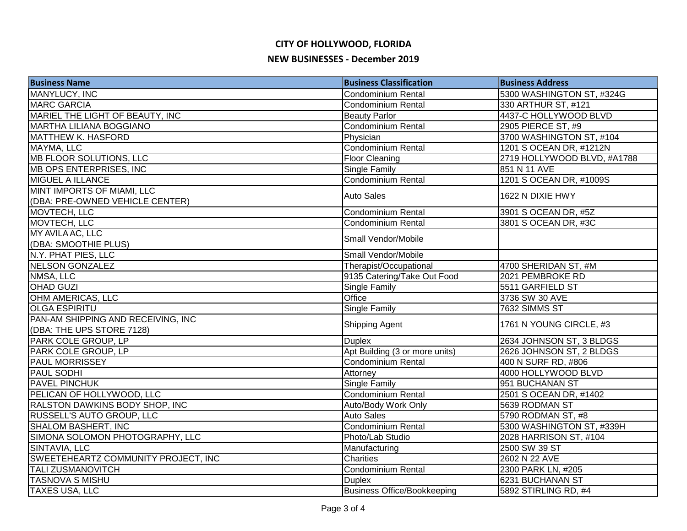| <b>Business Name</b>                  | <b>Business Classification</b>     | <b>Business Address</b>     |
|---------------------------------------|------------------------------------|-----------------------------|
| MANYLUCY, INC                         | Condominium Rental                 | 5300 WASHINGTON ST, #324G   |
| <b>MARC GARCIA</b>                    | <b>Condominium Rental</b>          | 330 ARTHUR ST, #121         |
| MARIEL THE LIGHT OF BEAUTY, INC       | <b>Beauty Parlor</b>               | 4437-C HOLLYWOOD BLVD       |
| <b>MARTHA LILIANA BOGGIANO</b>        | <b>Condominium Rental</b>          | 2905 PIERCE ST, #9          |
| <b>MATTHEW K. HASFORD</b>             | Physician                          | 3700 WASHINGTON ST, #104    |
| MAYMA, LLC                            | <b>Condominium Rental</b>          | 1201 S OCEAN DR, #1212N     |
| MB FLOOR SOLUTIONS, LLC               | <b>Floor Cleaning</b>              | 2719 HOLLYWOOD BLVD, #A1788 |
| <b>MB OPS ENTERPRISES, INC</b>        | <b>Single Family</b>               | 851 N 11 AVE                |
| <b>MIGUEL A ILLANCE</b>               | Condominium Rental                 | 1201 S OCEAN DR, #1009S     |
| MINT IMPORTS OF MIAMI, LLC            |                                    | 1622 N DIXIE HWY            |
| (DBA: PRE-OWNED VEHICLE CENTER)       | <b>Auto Sales</b>                  |                             |
| MOVTECH, LLC                          | Condominium Rental                 | 3901 S OCEAN DR, #5Z        |
| MOVTECH, LLC                          | <b>Condominium Rental</b>          | 3801 S OCEAN DR, #3C        |
| MY AVILA AC, LLC                      | Small Vendor/Mobile                |                             |
| (DBA: SMOOTHIE PLUS)                  |                                    |                             |
| N.Y. PHAT PIES, LLC                   | Small Vendor/Mobile                |                             |
| <b>NELSON GONZALEZ</b>                | Therapist/Occupational             | 4700 SHERIDAN ST, #M        |
| NMSA, LLC                             | 9135 Catering/Take Out Food        | 2021 PEMBROKE RD            |
| <b>OHAD GUZI</b>                      | <b>Single Family</b>               | 5511 GARFIELD ST            |
| OHM AMERICAS, LLC                     | Office                             | 3736 SW 30 AVE              |
| <b>OLGA ESPIRITU</b>                  | <b>Single Family</b>               | 7632 SIMMS ST               |
| PAN-AM SHIPPING AND RECEIVING, INC    |                                    | 1761 N YOUNG CIRCLE, #3     |
| (DBA: THE UPS STORE 7128)             | Shipping Agent                     |                             |
| PARK COLE GROUP, LP                   | <b>Duplex</b>                      | 2634 JOHNSON ST, 3 BLDGS    |
| PARK COLE GROUP, LP                   | Apt Building (3 or more units)     | 2626 JOHNSON ST, 2 BLDGS    |
| <b>PAUL MORRISSEY</b>                 | <b>Condominium Rental</b>          | 400 N SURF RD, #806         |
| <b>PAUL SODHI</b>                     | Attorney                           | 4000 HOLLYWOOD BLVD         |
| <b>PAVEL PINCHUK</b>                  | Single Family                      | 951 BUCHANAN ST             |
| PELICAN OF HOLLYWOOD, LLC             | Condominium Rental                 | 2501 S OCEAN DR, #1402      |
| <b>RALSTON DAWKINS BODY SHOP, INC</b> | Auto/Body Work Only                | 5639 RODMAN ST              |
| RUSSELL'S AUTO GROUP, LLC             | <b>Auto Sales</b>                  | 5790 RODMAN ST, #8          |
| <b>SHALOM BASHERT, INC</b>            | <b>Condominium Rental</b>          | 5300 WASHINGTON ST, #339H   |
| SIMONA SOLOMON PHOTOGRAPHY, LLC       | Photo/Lab Studio                   | 2028 HARRISON ST, #104      |
| SINTAVIA, LLC                         | Manufacturing                      | 2500 SW 39 ST               |
| SWEETEHEARTZ COMMUNITY PROJECT, INC   | Charities                          | 2602 N 22 AVE               |
| <b>TALI ZUSMANOVITCH</b>              | Condominium Rental                 | 2300 PARK LN, #205          |
| TASNOVA S MISHU                       | <b>Duplex</b>                      | 6231 BUCHANAN ST            |
| <b>TAXES USA, LLC</b>                 | <b>Business Office/Bookkeeping</b> | 5892 STIRLING RD, #4        |